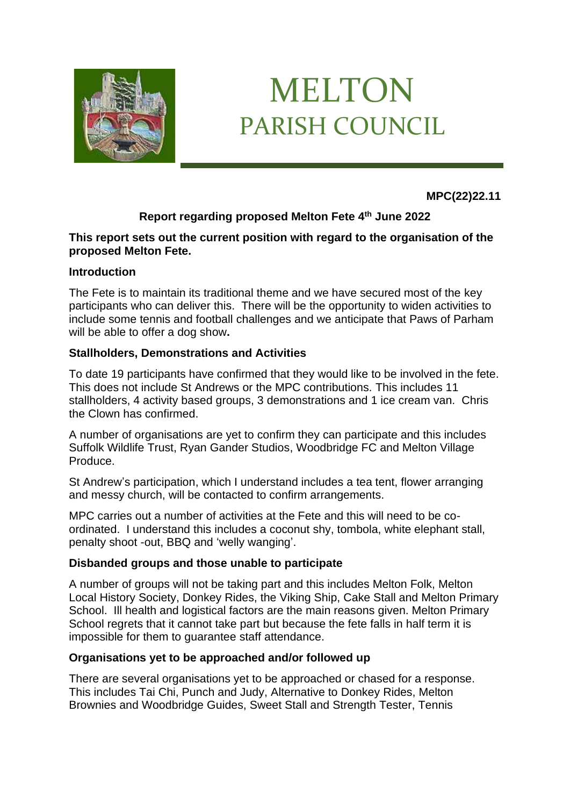

# MELTON PARISH COUNCIL

**MPC(22)22.11**

## **Report regarding proposed Melton Fete 4th June 2022**

### **This report sets out the current position with regard to the organisation of the proposed Melton Fete.**

## **Introduction**

The Fete is to maintain its traditional theme and we have secured most of the key participants who can deliver this. There will be the opportunity to widen activities to include some tennis and football challenges and we anticipate that Paws of Parham will be able to offer a dog show**.**

## **Stallholders, Demonstrations and Activities**

To date 19 participants have confirmed that they would like to be involved in the fete. This does not include St Andrews or the MPC contributions. This includes 11 stallholders, 4 activity based groups, 3 demonstrations and 1 ice cream van. Chris the Clown has confirmed.

A number of organisations are yet to confirm they can participate and this includes Suffolk Wildlife Trust, Ryan Gander Studios, Woodbridge FC and Melton Village Produce.

St Andrew's participation, which I understand includes a tea tent, flower arranging and messy church, will be contacted to confirm arrangements.

MPC carries out a number of activities at the Fete and this will need to be coordinated. I understand this includes a coconut shy, tombola, white elephant stall, penalty shoot -out, BBQ and 'welly wanging'.

#### **Disbanded groups and those unable to participate**

A number of groups will not be taking part and this includes Melton Folk, Melton Local History Society, Donkey Rides, the Viking Ship, Cake Stall and Melton Primary School. Ill health and logistical factors are the main reasons given. Melton Primary School regrets that it cannot take part but because the fete falls in half term it is impossible for them to guarantee staff attendance.

#### **Organisations yet to be approached and/or followed up**

There are several organisations yet to be approached or chased for a response. This includes Tai Chi, Punch and Judy, Alternative to Donkey Rides, Melton Brownies and Woodbridge Guides, Sweet Stall and Strength Tester, Tennis